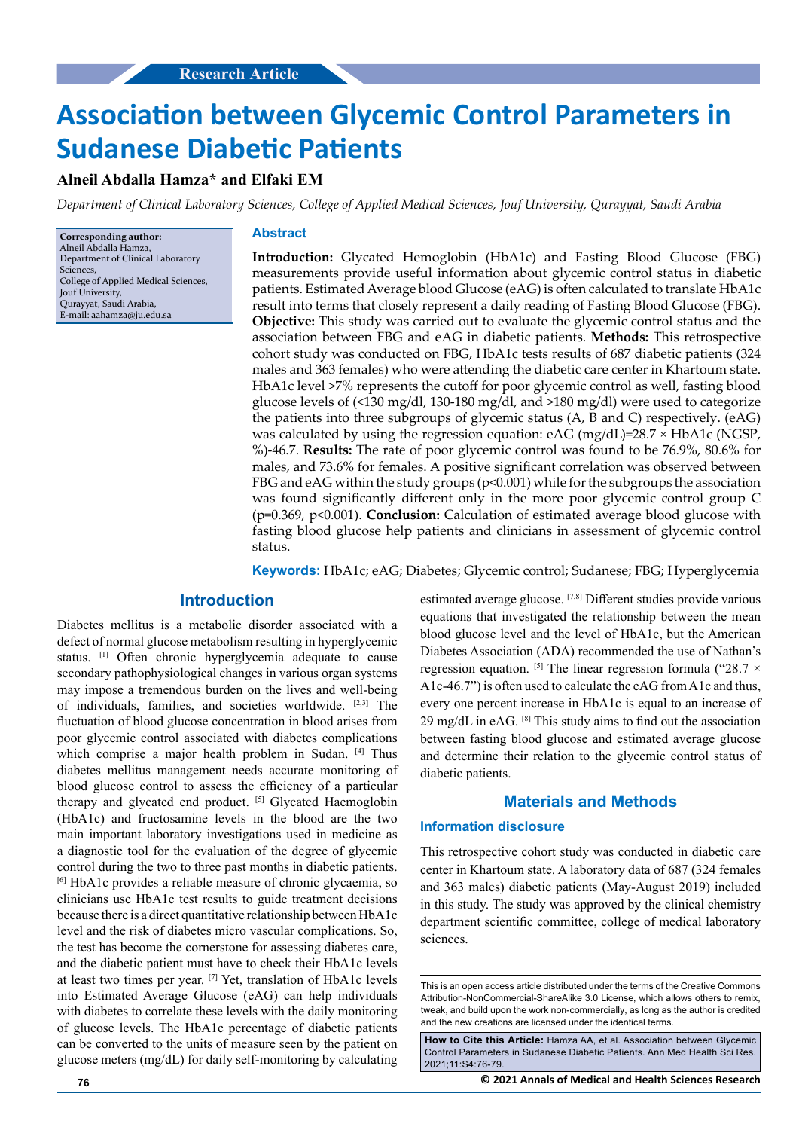# **Association between Glycemic Control Parameters in Sudanese Diabetic Patients**

# **Alneil Abdalla Hamza\* and Elfaki EM**

*Department of Clinical Laboratory Sciences, College of Applied Medical Sciences, Jouf University, Qurayyat, Saudi Arabia*

**Corresponding author:** Alneil Abdalla Hamza, Department of Clinical Laboratory Sciences, College of Applied Medical Sciences, Jouf University, Qurayyat, Saudi Arabia, E-mail: [aahamza@ju.edu.sa](mailto:aahamza@ju.edu.sa)

#### **Abstract**

**Introduction:** Glycated Hemoglobin (HbA1c) and Fasting Blood Glucose (FBG) measurements provide useful information about glycemic control status in diabetic patients. Estimated Average blood Glucose (eAG) is often calculated to translate HbA1c result into terms that closely represent a daily reading of Fasting Blood Glucose (FBG). **Objective:** This study was carried out to evaluate the glycemic control status and the association between FBG and eAG in diabetic patients. **Methods:** This retrospective cohort study was conducted on FBG, HbA1c tests results of 687 diabetic patients (324 males and 363 females) who were attending the diabetic care center in Khartoum state. HbA1c level >7% represents the cutoff for poor glycemic control as well, fasting blood glucose levels of (<130 mg/dl, 130-180 mg/dl, and >180 mg/dl) were used to categorize the patients into three subgroups of glycemic status (A, B and C) respectively. (eAG) was calculated by using the regression equation: eAG (mg/dL)=28.7 × HbA1c (NGSP, %)-46.7. **Results:** The rate of poor glycemic control was found to be 76.9%, 80.6% for males, and 73.6% for females. A positive significant correlation was observed between FBG and eAG within the study groups (p<0.001) while for the subgroups the association was found significantly different only in the more poor glycemic control group C (p=0.369, p<0.001). **Conclusion:** Calculation of estimated average blood glucose with fasting blood glucose help patients and clinicians in assessment of glycemic control status.

**Keywords:** HbA1c; eAG; Diabetes; Glycemic control; Sudanese; FBG; Hyperglycemia

# **Introduction**

Diabetes mellitus is a metabolic disorder associated with a defect of normal glucose metabolism resulting in hyperglycemic status. <sup>[1]</sup> Often chronic hyperglycemia adequate to cause secondary pathophysiological changes in various organ systems may impose a tremendous burden on the lives and well-being of individuals, families, and societies worldwide. [2,3] The fluctuation of blood glucose concentration in blood arises from poor glycemic control associated with diabetes complications which comprise a major health problem in Sudan. [4] Thus diabetes mellitus management needs accurate monitoring of blood glucose control to assess the efficiency of a particular therapy and glycated end product. [5] Glycated Haemoglobin (HbA1c) and fructosamine levels in the blood are the two main important laboratory investigations used in medicine as a diagnostic tool for the evaluation of the degree of glycemic control during the two to three past months in diabetic patients. [6] HbA1c provides a reliable measure of chronic glycaemia, so clinicians use HbA1c test results to guide treatment decisions because there is a direct quantitative relationship between HbA1c level and the risk of diabetes micro vascular complications. So, the test has become the cornerstone for assessing diabetes care, and the diabetic patient must have to check their HbA1c levels at least two times per year. [7] Yet, translation of HbA1c levels into Estimated Average Glucose (eAG) can help individuals with diabetes to correlate these levels with the daily monitoring of glucose levels. The HbA1c percentage of diabetic patients can be converted to the units of measure seen by the patient on glucose meters (mg/dL) for daily self-monitoring by calculating

estimated average glucose. [7,8] Different studies provide various equations that investigated the relationship between the mean blood glucose level and the level of HbA1c, but the American Diabetes Association (ADA) recommended the use of Nathan's regression equation. <sup>[5]</sup> The linear regression formula ("28.7  $\times$ A1c-46.7") is often used to calculate the eAG from A1c and thus, every one percent increase in HbA1c is equal to an increase of 29 mg/dL in eAG.  $[8]$  This study aims to find out the association between fasting blood glucose and estimated average glucose and determine their relation to the glycemic control status of diabetic patients.

## **Materials and Methods**

#### **Information disclosure**

This retrospective cohort study was conducted in diabetic care center in Khartoum state. A laboratory data of 687 (324 females and 363 males) diabetic patients (May-August 2019) included in this study. The study was approved by the clinical chemistry department scientific committee, college of medical laboratory sciences.

**76 © 2021 Annals of Medical and Health Sciences Research** 

This is an open access article distributed under the terms of the Creative Commons Attribution‑NonCommercial‑ShareAlike 3.0 License, which allows others to remix, tweak, and build upon the work non‑commercially, as long as the author is credited and the new creations are licensed under the identical terms.

**How to Cite this Article:** Hamza AA, et al. Association between Glycemic Control Parameters in Sudanese Diabetic Patients. Ann Med Health Sci Res. 2021;11:S4:76-79.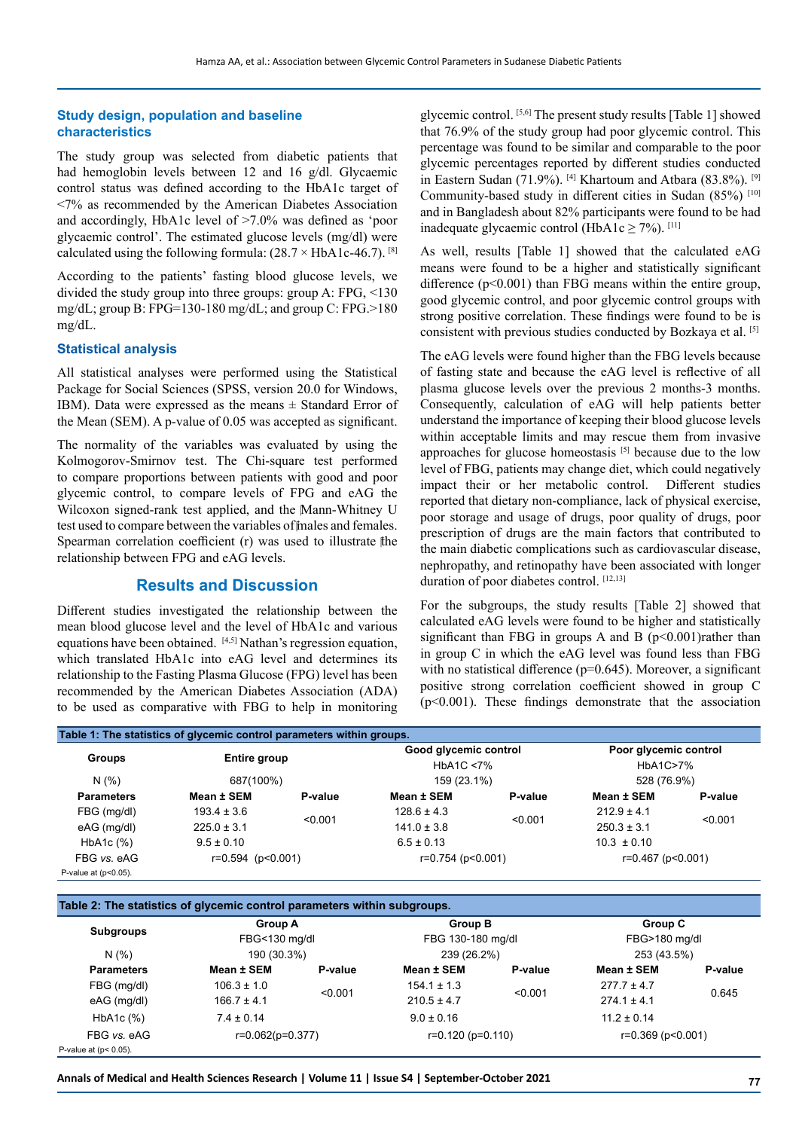### **Study design, population and baseline characteristics**

The study group was selected from diabetic patients that had hemoglobin levels between 12 and 16 g/dl. Glycaemic control status was defined according to the HbA1c target of <7% as recommended by the American Diabetes Association and accordingly, HbA1c level of >7.0% was defined as 'poor glycaemic control'. The estimated glucose levels (mg/dl) were calculated using the following formula:  $(28.7 \times HbA1c-46.7)$ . [8]

According to the patients' fasting blood glucose levels, we divided the study group into three groups: group A: FPG, <130 mg/dL; group B: FPG=130-180 mg/dL; and group C: FPG.>180 mg/dL.

#### **Statistical analysis**

All statistical analyses were performed using the Statistical Package for Social Sciences (SPSS, version 20.0 for Windows, IBM). Data were expressed as the means  $\pm$  Standard Error of the Mean (SEM). A p-value of 0.05 was accepted as significant.

The normality of the variables was evaluated by using the Kolmogorov-Smirnov test. The Chi-square test performed to compare proportions between patients with good and poor glycemic control, to compare levels of FPG and eAG the Wilcoxon signed-rank test applied, and the Mann-Whitney U test used to compare between the variables of finales and females. Spearman correlation coefficient (r) was used to illustrate the relationship between FPG and eAG levels.

# **Results and Discussion**

Different studies investigated the relationship between the mean blood glucose level and the level of HbA1c and various equations have been obtained.  $[4,5]$  Nathan's regression equation, which translated HbA1c into eAG level and determines its relationship to the Fasting Plasma Glucose (FPG) level has been recommended by the American Diabetes Association (ADA) to be used as comparative with FBG to help in monitoring glycemic control. [5,6] The present study results [Table 1] showed that 76.9% of the study group had poor glycemic control. This percentage was found to be similar and comparable to the poor glycemic percentages reported by different studies conducted in Eastern Sudan (71.9%). <sup>[4]</sup> Khartoum and Atbara (83.8%). <sup>[9]</sup> Community-based study in different cities in Sudan (85%) [10] and in Bangladesh about 82% participants were found to be had inadequate glycaemic control (HbA1c  $\geq$  7%). [11]

As well, results [Table 1] showed that the calculated eAG means were found to be a higher and statistically significant difference (p<0.001) than FBG means within the entire group, good glycemic control, and poor glycemic control groups with strong positive correlation. These findings were found to be is consistent with previous studies conducted by Bozkaya et al. [5]

The eAG levels were found higher than the FBG levels because of fasting state and because the eAG level is reflective of all plasma glucose levels over the previous 2 months-3 months. Consequently, calculation of eAG will help patients better understand the importance of keeping their blood glucose levels within acceptable limits and may rescue them from invasive approaches for glucose homeostasis [5] because due to the low level of FBG, patients may change diet, which could negatively impact their or her metabolic control. Different studies reported that dietary non-compliance, lack of physical exercise, poor storage and usage of drugs, poor quality of drugs, poor prescription of drugs are the main factors that contributed to the main diabetic complications such as cardiovascular disease, nephropathy, and retinopathy have been associated with longer duration of poor diabetes control. [12,13]

For the subgroups, the study results [Table 2] showed that calculated eAG levels were found to be higher and statistically significant than FBG in groups A and B  $(p<0.001)$ rather than in group C in which the eAG level was found less than FBG with no statistical difference  $(p=0.645)$ . Moreover, a significant positive strong correlation coefficient showed in group C  $(p<0.001)$ . These findings demonstrate that the association

| Table 1: The statistics of glycemic control parameters within groups. |                           |         |                                                                    |         |                                                  |         |  |
|-----------------------------------------------------------------------|---------------------------|---------|--------------------------------------------------------------------|---------|--------------------------------------------------|---------|--|
| <b>Groups</b>                                                         | Entire group<br>687(100%) |         | Good glycemic control<br>HbA <sub>1</sub> C $< 7\%$<br>159 (23.1%) |         | Poor glycemic control<br>HbA1C>7%<br>528 (76.9%) |         |  |
| N(% )                                                                 |                           |         |                                                                    |         |                                                  |         |  |
| <b>Parameters</b>                                                     | Mean ± SEM                | P-value | Mean ± SEM                                                         | P-value | Mean ± SEM                                       | P-value |  |
| FBG (mg/dl)                                                           | $193.4 \pm 3.6$           | < 0.001 | $128.6 \pm 4.3$                                                    |         | $212.9 \pm 4.1$                                  | < 0.001 |  |
| eAG (mg/dl)                                                           | $225.0 \pm 3.1$           |         | $141.0 \pm 3.8$                                                    | < 0.001 | $250.3 \pm 3.1$                                  |         |  |
| HbA1c (%)                                                             | $9.5 \pm 0.10$            |         | $6.5 \pm 0.13$                                                     |         | $10.3 \pm 0.10$                                  |         |  |
| FBG vs. eAG                                                           | $r=0.594$ ( $p<0.001$ )   |         | r=0.754 (p<0.001)                                                  |         | r=0.467 (p<0.001)                                |         |  |
| P-value at $(p<0.05)$ .                                               |                           |         |                                                                    |         |                                                  |         |  |

| Table 2: The statistics of glycemic control parameters within subgroups. |                    |         |                         |         |                         |         |
|--------------------------------------------------------------------------|--------------------|---------|-------------------------|---------|-------------------------|---------|
|                                                                          | Group A            |         | <b>Group B</b>          |         | Group C                 |         |
| <b>Subgroups</b>                                                         | FBG<130 mg/dl      |         | FBG 130-180 mg/dl       |         | FBG>180 mg/dl           |         |
| N(% )                                                                    | 190 (30.3%)        |         | 239 (26.2%)             |         | 253 (43.5%)             |         |
| <b>Parameters</b>                                                        | Mean ± SEM         | P-value | Mean ± SEM              | P-value | Mean ± SEM              | P-value |
| FBG (mg/dl)                                                              | $106.3 \pm 1.0$    | < 0.001 | $154.1 \pm 1.3$         |         | $277.7 \pm 4.7$         | 0.645   |
| eAG (mg/dl)                                                              | $166.7 \pm 4.1$    |         | $210.5 \pm 4.7$         | < 0.001 | $274.1 \pm 4.1$         |         |
| HbA1c (%)                                                                | $7.4 \pm 0.14$     |         | $9.0 \pm 0.16$          |         | $11.2 \pm 0.14$         |         |
| FBG vs. eAG                                                              | $r=0.062(p=0.377)$ |         | $r=0.120$ ( $p=0.110$ ) |         | $r=0.369$ ( $p<0.001$ ) |         |
| P-value at $(p< 0.05)$ .                                                 |                    |         |                         |         |                         |         |

**Annals of Medical and Health Sciences Research | Volume 11 | Issue S4 | September-October 2021 77**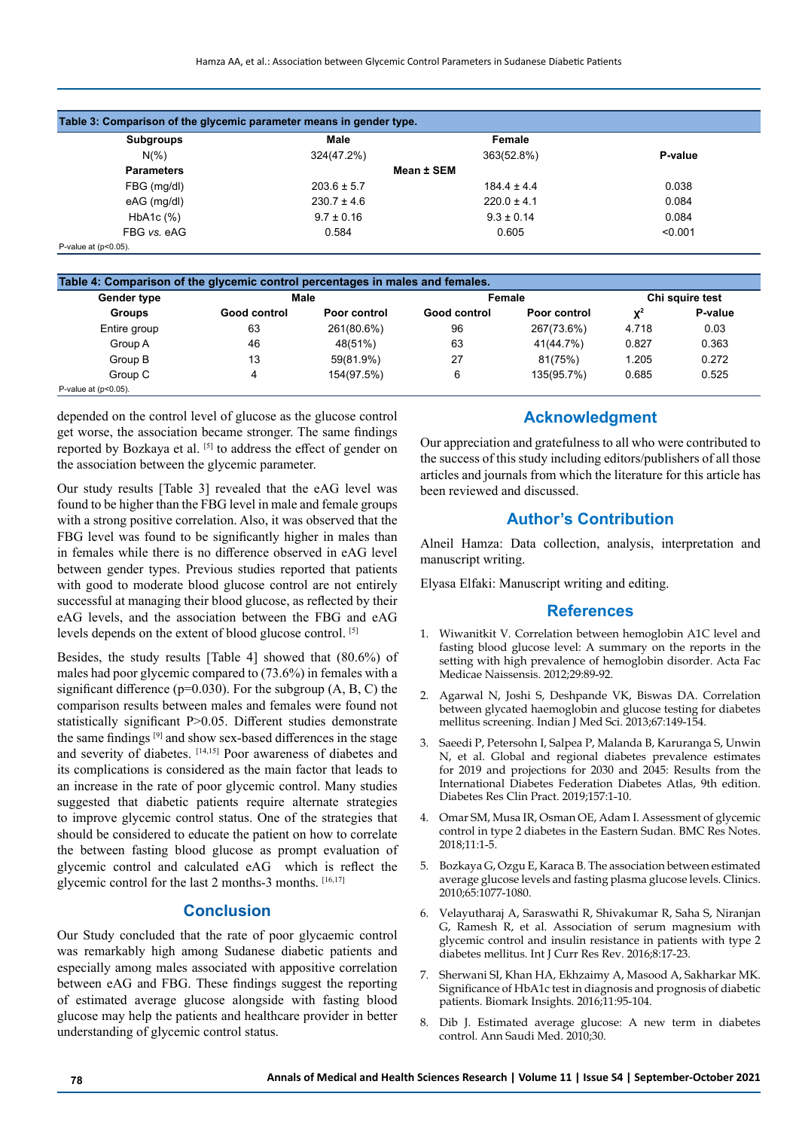| Table 3: Comparison of the glycemic parameter means in gender type. |                 |                 |         |  |  |
|---------------------------------------------------------------------|-----------------|-----------------|---------|--|--|
| Subgroups                                                           | Male            | Female          |         |  |  |
| $N(\%)$                                                             | 324(47.2%)      | 363(52.8%)      | P-value |  |  |
| <b>Parameters</b>                                                   |                 | Mean ± SEM      |         |  |  |
| FBG (mg/dl)                                                         | $203.6 \pm 5.7$ | $1844 \pm 44$   | 0.038   |  |  |
| eAG (mg/dl)                                                         | $230.7 \pm 4.6$ | $220.0 \pm 4.1$ | 0.084   |  |  |
| HbA1c (%)                                                           | $9.7 \pm 0.16$  | $9.3 \pm 0.14$  | 0.084   |  |  |
| FBG vs. eAG                                                         | 0.584           | 0.605           | < 0.001 |  |  |
| P-value at $(p<0.05)$ .                                             |                 |                 |         |  |  |

|  | P-value at $(p<0.05)$ . |
|--|-------------------------|
|  |                         |

| Table 4: Comparison of the glycemic control percentages in males and females. |              |              |              |              |                 |         |
|-------------------------------------------------------------------------------|--------------|--------------|--------------|--------------|-----------------|---------|
| <b>Gender type</b>                                                            | Male         |              | Female       |              | Chi squire test |         |
| <b>Groups</b>                                                                 | Good control | Poor control | Good control | Poor control | $\mathbf{X}^2$  | P-value |
| Entire group                                                                  | 63           | 261(80.6%)   | 96           | 267(73.6%)   | 4.718           | 0.03    |
| Group A                                                                       | 46           | 48(51%)      | 63           | 41(44.7%)    | 0.827           | 0.363   |
| Group B                                                                       | 13           | 59(81.9%)    | 27           | 81(75%)      | 1.205           | 0.272   |
| Group C                                                                       | 4            | 154(97.5%)   | 6            | 135(95.7%)   | 0.685           | 0.525   |
| P-value at $(p<0.05)$ .                                                       |              |              |              |              |                 |         |

depended on the control level of glucose as the glucose control get worse, the association became stronger. The same findings reported by Bozkaya et al. [5] to address the effect of gender on the association between the glycemic parameter.

Our study results [Table 3] revealed that the eAG level was found to be higher than the FBG level in male and female groups with a strong positive correlation. Also, it was observed that the FBG level was found to be significantly higher in males than in females while there is no difference observed in eAG level between gender types. Previous studies reported that patients with good to moderate blood glucose control are not entirely successful at managing their blood glucose, as reflected by their eAG levels, and the association between the FBG and eAG levels depends on the extent of blood glucose control. [5]

Besides, the study results [Table 4] showed that (80.6%) of males had poor glycemic compared to (73.6%) in females with a significant difference ( $p=0.030$ ). For the subgroup (A, B, C) the comparison results between males and females were found not statistically significant P>0.05. Different studies demonstrate the same findings [9] and show sex-based differences in the stage and severity of diabetes. [14,15] Poor awareness of diabetes and its complications is considered as the main factor that leads to an increase in the rate of poor glycemic control. Many studies suggested that diabetic patients require alternate strategies to improve glycemic control status. One of the strategies that should be considered to educate the patient on how to correlate the between fasting blood glucose as prompt evaluation of glycemic control and calculated eAG which is reflect the glycemic control for the last 2 months-3 months. [16,17]

# **Conclusion**

Our Study concluded that the rate of poor glycaemic control was remarkably high among Sudanese diabetic patients and especially among males associated with appositive correlation between eAG and FBG. These findings suggest the reporting of estimated average glucose alongside with fasting blood glucose may help the patients and healthcare provider in better understanding of glycemic control status.

# **Acknowledgment**

Our appreciation and gratefulness to all who were contributed to the success of this study including editors/publishers of all those articles and journals from which the literature for this article has been reviewed and discussed.

## **Author's Contribution**

Alneil Hamza: Data collection, analysis, interpretation and manuscript writing.

Elyasa Elfaki: Manuscript writing and editing.

#### **References**

- 1. Wiwanitkit V. Correlation between hemoglobin A1C level and fasting blood glucose level: A summary on the reports in the setting with high prevalence of hemoglobin disorder. Acta Fac Medicae Naissensis. 2012;29:89-92.
- 2. Agarwal N, Joshi S, Deshpande VK, Biswas DA. Correlation between glycated haemoglobin and glucose testing for diabetes mellitus screening. Indian J Med Sci. 2013;67:149-154.
- 3. Saeedi P, Petersohn I, Salpea P, Malanda B, Karuranga S, Unwin N, et al. Global and regional diabetes prevalence estimates for 2019 and projections for 2030 and 2045: Results from the International Diabetes Federation Diabetes Atlas, 9th edition. Diabetes Res Clin Pract. 2019;157:1-10.
- 4. Omar SM, Musa IR, Osman OE, Adam I. Assessment of glycemic control in type 2 diabetes in the Eastern Sudan. BMC Res Notes. 2018;11:1-5.
- 5. Bozkaya G, Ozgu E, Karaca B. The association between estimated average glucose levels and fasting plasma glucose levels. Clinics. 2010;65:1077-1080.
- 6. Velayutharaj A, Saraswathi R, Shivakumar R, Saha S, Niranjan G, Ramesh R, et al. Association of serum magnesium with glycemic control and insulin resistance in patients with type 2 diabetes mellitus. Int J Curr Res Rev. 2016;8:17-23.
- 7. Sherwani SI, Khan HA, Ekhzaimy A, Masood A, Sakharkar MK. Significance of HbA1c test in diagnosis and prognosis of diabetic patients. Biomark Insights. 2016;11:95-104.
- 8. Dib J. Estimated average glucose: A new term in diabetes control. Ann Saudi Med. 2010;30.